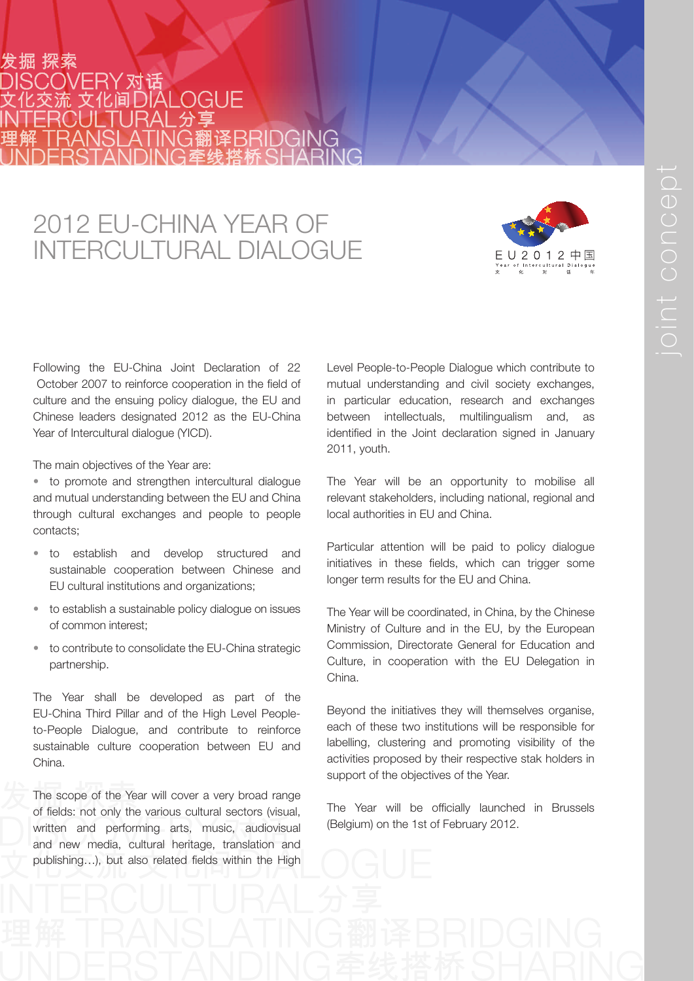## :掘 探索 **I OGLIF** 交流 文化间口

## 2012 EU-CHINA YEAR OF INTERCULTURAL DIALOGUE



Following the EU-China Joint Declaration of 22 October 2007 to reinforce cooperation in the field of culture and the ensuing policy dialogue, the EU and Chinese leaders designated 2012 as the EU-China Year of Intercultural dialogue (YICD).

The main objectives of the Year are:

• to promote and strengthen intercultural dialogue and mutual understanding between the EU and China through cultural exchanges and people to people contacts;

- to establish and develop structured and sustainable cooperation between Chinese and EU cultural institutions and organizations;
- to establish a sustainable policy dialogue on issues of common interest;
- to contribute to consolidate the EU-China strategic partnership.

The Year shall be developed as part of the EU-China Third Pillar and of the High Level Peopleto-People Dialogue, and contribute to reinforce sustainable culture cooperation between EU and China.

The scope of the Year will cover a very broad range of fields: not only the various cultural sectors (visual, written and performing arts, music, audiovisual and new media, cultural heritage, translation and publishing...), but also related fields within the High

Level People-to-People Dialogue which contribute to mutual understanding and civil society exchanges, in particular education, research and exchanges between intellectuals, multilingualism and, as identified in the Joint declaration signed in January 2011, youth.

The Year will be an opportunity to mobilise all relevant stakeholders, including national, regional and local authorities in EU and China.

Particular attention will be paid to policy dialogue initiatives in these fields, which can trigger some longer term results for the EU and China.

The Year will be coordinated, in China, by the Chinese Ministry of Culture and in the EU, by the European Commission, Directorate General for Education and Culture, in cooperation with the EU Delegation in China.

Beyond the initiatives they will themselves organise, each of these two institutions will be responsible for labelling, clustering and promoting visibility of the activities proposed by their respective stak holders in support of the objectives of the Year.

The Year will be officially launched in Brussels (Belgium) on the 1st of February 2012.